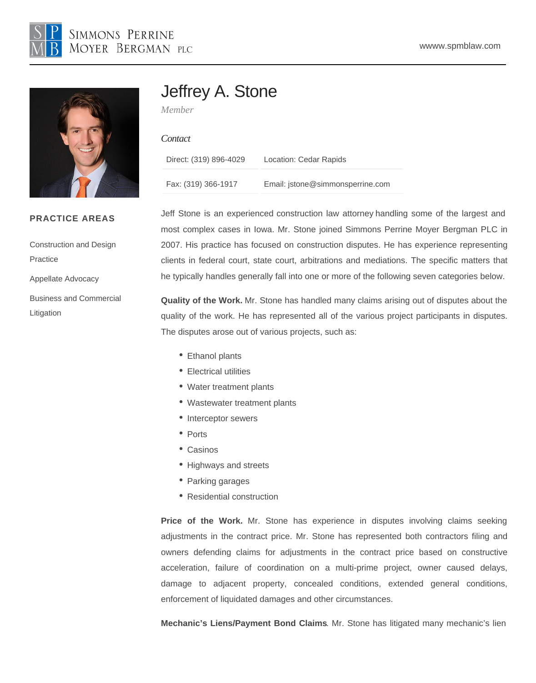# Jeffrey A. Stone

Member

#### **Contact**

| Direct: (319) 896-4029 | Location: Cedar Rapids           |
|------------------------|----------------------------------|
| Fax: (319) 366-1917    | Email: jstone@simmonsperrine.com |

PRACTICE AREAS

[Construction and Design](/var/www/html/{CCM:BASE_URL}/our-practices/litigation/construction-and-design-practice)  **[Practice](/var/www/html/{CCM:BASE_URL}/our-practices/litigation/construction-and-design-practice)** 

[Appellate Advocacy](/var/www/html/{CCM:BASE_URL}/our-practices/litigation/appellate-advocacy)

[Business and Commercial](/var/www/html/{CCM:BASE_URL}/our-practices/litigation/business-and-commercial-litigation)  [Litigation](/var/www/html/{CCM:BASE_URL}/our-practices/litigation/business-and-commercial-litigation)

Jeff Stone is an experience[d construction law attorne](https://www.spmblaw.com/our-practices/litigation/construction-and-design-practice)y handling some of the largest and most complex cases in Iowa. Mr. Stone joined Simmons Perrine Moyer Bergman PLC in 2007. His practice has focused on construction disputes. He has experience representing clients in federal court, state court, arbitrations and mediations. The specific matters that he typically handles generally fall into one or more of the following seven categories below.

Quality of the Work. Mr. Stone has handled many claims arising out of disputes about the quality of the work. He has represented all of the various project participants in disputes. The disputes arose out of various projects, such as:

- Ethanol plants
- Electrical utilities
- Water treatment plants
- Wastewater treatment plants
- Interceptor sewers
- Ports
- Casinos
- Highways and streets
- Parking garages
- Residential construction

Price of the Work. Mr. Stone has experience in disputes involving claims seeking adjustments in the contract price. Mr. Stone has represented both contractors filing and owners defending claims for adjustments in the contract price based on constructive acceleration, failure of coordination on a multi-prime project, owner caused delays, damage to adjacent property, concealed conditions, extended general conditions, enforcement of liquidated damages and other circumstances.

Mechanic's Liens/Payment Bond Claims . Mr. Stone has litigated many mechanic's lien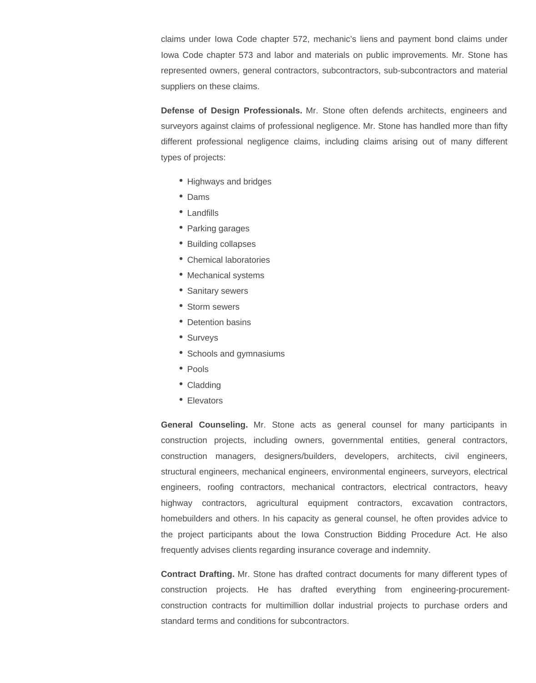claims under Iowa Code chapter 572, mechanic's liens and payment bond claims under Iowa Code chapter 573 and labor and materials on public improvements. Mr. Stone has represented owners, general contractors, subcontractors, sub-subcontractors and material suppliers on these claims.

**Defense of Design Professionals.** Mr. Stone often defends architects, engineers and surveyors against claims of professional negligence. Mr. Stone has handled more than fifty different professional negligence claims, including claims arising out of many different types of projects:

- Highways and bridges
- Dams
- Landfills
- Parking garages
- Building collapses
- Chemical laboratories
- Mechanical systems
- Sanitary sewers
- Storm sewers
- Detention basins
- Surveys
- Schools and gymnasiums
- $\bullet$  Pools
- Cladding
- Elevators

**General Counseling.** Mr. Stone acts as general counsel for many participants in construction projects, including owners, governmental entities, general contractors, construction managers, designers/builders, developers, architects, civil engineers, structural engineers, mechanical engineers, environmental engineers, surveyors, electrical engineers, roofing contractors, mechanical contractors, electrical contractors, heavy highway contractors, agricultural equipment contractors, excavation contractors, homebuilders and others. In his capacity as general counsel, he often provides advice to the project participants about the Iowa Construction Bidding Procedure Act. He also frequently advises clients regarding insurance coverage and indemnity.

**Contract Drafting.** Mr. Stone has drafted contract documents for many different types of construction projects. He has drafted everything from engineering-procurementconstruction contracts for multimillion dollar industrial projects to purchase orders and standard terms and conditions for subcontractors.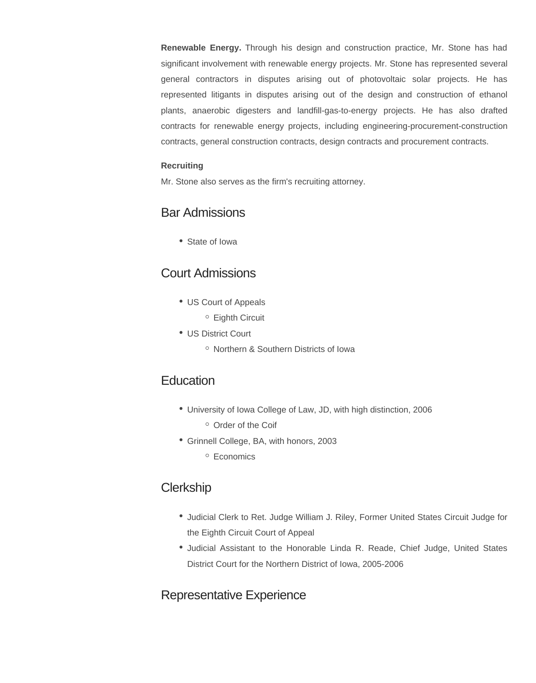**Renewable Energy.** Through his design and construction practice, Mr. Stone has had significant involvement with renewable energy projects. Mr. Stone has represented several general contractors in disputes arising out of photovoltaic solar projects. He has represented litigants in disputes arising out of the design and construction of ethanol plants, anaerobic digesters and landfill-gas-to-energy projects. He has also drafted contracts for renewable energy projects, including engineering-procurement-construction contracts, general construction contracts, design contracts and procurement contracts.

#### **Recruiting**

Mr. Stone also serves as the firm's recruiting attorney.

### Bar Admissions

• State of Iowa

### Court Admissions

- US Court of Appeals
	- Eighth Circuit
- US District Court
	- Northern & Southern Districts of Iowa

#### **Education**

- University of Iowa College of Law, JD, with high distinction, 2006
	- <sup>o</sup> Order of the Coif
- Grinnell College, BA, with honors, 2003
	- <sup>o</sup> Economics

### **Clerkship**

- Judicial Clerk to Ret. Judge William J. Riley, Former United States Circuit Judge for the Eighth Circuit Court of Appeal
- Judicial Assistant to the Honorable Linda R. Reade, Chief Judge, United States District Court for the Northern District of Iowa, 2005-2006

### Representative Experience